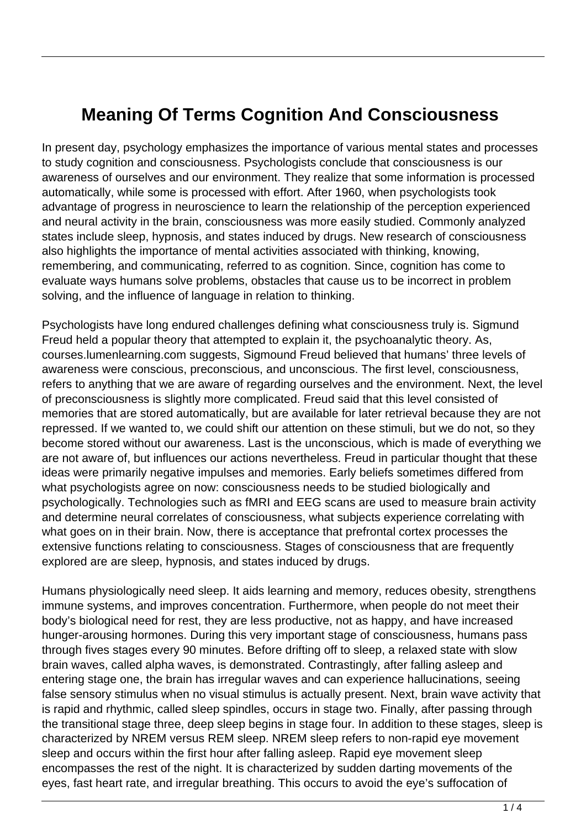## **Meaning Of Terms Cognition And Consciousness**

In present day, psychology emphasizes the importance of various mental states and processes to study cognition and consciousness. Psychologists conclude that consciousness is our awareness of ourselves and our environment. They realize that some information is processed automatically, while some is processed with effort. After 1960, when psychologists took advantage of progress in neuroscience to learn the relationship of the perception experienced and neural activity in the brain, consciousness was more easily studied. Commonly analyzed states include sleep, hypnosis, and states induced by drugs. New research of consciousness also highlights the importance of mental activities associated with thinking, knowing, remembering, and communicating, referred to as cognition. Since, cognition has come to evaluate ways humans solve problems, obstacles that cause us to be incorrect in problem solving, and the influence of language in relation to thinking.

Psychologists have long endured challenges defining what consciousness truly is. Sigmund Freud held a popular theory that attempted to explain it, the psychoanalytic theory. As, courses.lumenlearning.com suggests, Sigmound Freud believed that humans' three levels of awareness were conscious, preconscious, and unconscious. The first level, consciousness, refers to anything that we are aware of regarding ourselves and the environment. Next, the level of preconsciousness is slightly more complicated. Freud said that this level consisted of memories that are stored automatically, but are available for later retrieval because they are not repressed. If we wanted to, we could shift our attention on these stimuli, but we do not, so they become stored without our awareness. Last is the unconscious, which is made of everything we are not aware of, but influences our actions nevertheless. Freud in particular thought that these ideas were primarily negative impulses and memories. Early beliefs sometimes differed from what psychologists agree on now: consciousness needs to be studied biologically and psychologically. Technologies such as fMRI and EEG scans are used to measure brain activity and determine neural correlates of consciousness, what subjects experience correlating with what goes on in their brain. Now, there is acceptance that prefrontal cortex processes the extensive functions relating to consciousness. Stages of consciousness that are frequently explored are are sleep, hypnosis, and states induced by drugs.

Humans physiologically need sleep. It aids learning and memory, reduces obesity, strengthens immune systems, and improves concentration. Furthermore, when people do not meet their body's biological need for rest, they are less productive, not as happy, and have increased hunger-arousing hormones. During this very important stage of consciousness, humans pass through fives stages every 90 minutes. Before drifting off to sleep, a relaxed state with slow brain waves, called alpha waves, is demonstrated. Contrastingly, after falling asleep and entering stage one, the brain has irregular waves and can experience hallucinations, seeing false sensory stimulus when no visual stimulus is actually present. Next, brain wave activity that is rapid and rhythmic, called sleep spindles, occurs in stage two. Finally, after passing through the transitional stage three, deep sleep begins in stage four. In addition to these stages, sleep is characterized by NREM versus REM sleep. NREM sleep refers to non-rapid eye movement sleep and occurs within the first hour after falling asleep. Rapid eye movement sleep encompasses the rest of the night. It is characterized by sudden darting movements of the eyes, fast heart rate, and irregular breathing. This occurs to avoid the eye's suffocation of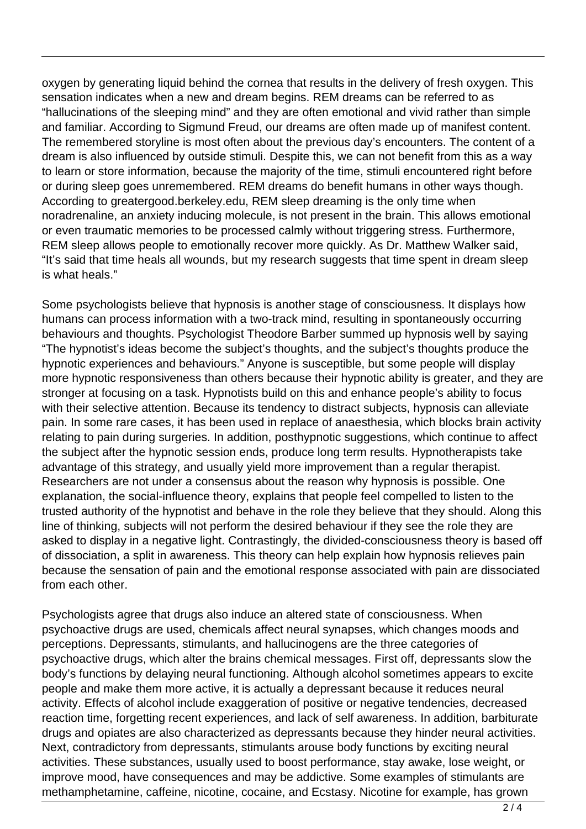oxygen by generating liquid behind the cornea that results in the delivery of fresh oxygen. This sensation indicates when a new and dream begins. REM dreams can be referred to as "hallucinations of the sleeping mind" and they are often emotional and vivid rather than simple and familiar. According to Sigmund Freud, our dreams are often made up of manifest content. The remembered storyline is most often about the previous day's encounters. The content of a dream is also influenced by outside stimuli. Despite this, we can not benefit from this as a way to learn or store information, because the majority of the time, stimuli encountered right before or during sleep goes unremembered. REM dreams do benefit humans in other ways though. According to greatergood.berkeley.edu, REM sleep dreaming is the only time when noradrenaline, an anxiety inducing molecule, is not present in the brain. This allows emotional or even traumatic memories to be processed calmly without triggering stress. Furthermore, REM sleep allows people to emotionally recover more quickly. As Dr. Matthew Walker said, "It's said that time heals all wounds, but my research suggests that time spent in dream sleep is what heals."

Some psychologists believe that hypnosis is another stage of consciousness. It displays how humans can process information with a two-track mind, resulting in spontaneously occurring behaviours and thoughts. Psychologist Theodore Barber summed up hypnosis well by saying "The hypnotist's ideas become the subject's thoughts, and the subject's thoughts produce the hypnotic experiences and behaviours." Anyone is susceptible, but some people will display more hypnotic responsiveness than others because their hypnotic ability is greater, and they are stronger at focusing on a task. Hypnotists build on this and enhance people's ability to focus with their selective attention. Because its tendency to distract subjects, hypnosis can alleviate pain. In some rare cases, it has been used in replace of anaesthesia, which blocks brain activity relating to pain during surgeries. In addition, posthypnotic suggestions, which continue to affect the subject after the hypnotic session ends, produce long term results. Hypnotherapists take advantage of this strategy, and usually yield more improvement than a regular therapist. Researchers are not under a consensus about the reason why hypnosis is possible. One explanation, the social-influence theory, explains that people feel compelled to listen to the trusted authority of the hypnotist and behave in the role they believe that they should. Along this line of thinking, subjects will not perform the desired behaviour if they see the role they are asked to display in a negative light. Contrastingly, the divided-consciousness theory is based off of dissociation, a split in awareness. This theory can help explain how hypnosis relieves pain because the sensation of pain and the emotional response associated with pain are dissociated from each other.

Psychologists agree that drugs also induce an altered state of consciousness. When psychoactive drugs are used, chemicals affect neural synapses, which changes moods and perceptions. Depressants, stimulants, and hallucinogens are the three categories of psychoactive drugs, which alter the brains chemical messages. First off, depressants slow the body's functions by delaying neural functioning. Although alcohol sometimes appears to excite people and make them more active, it is actually a depressant because it reduces neural activity. Effects of alcohol include exaggeration of positive or negative tendencies, decreased reaction time, forgetting recent experiences, and lack of self awareness. In addition, barbiturate drugs and opiates are also characterized as depressants because they hinder neural activities. Next, contradictory from depressants, stimulants arouse body functions by exciting neural activities. These substances, usually used to boost performance, stay awake, lose weight, or improve mood, have consequences and may be addictive. Some examples of stimulants are methamphetamine, caffeine, nicotine, cocaine, and Ecstasy. Nicotine for example, has grown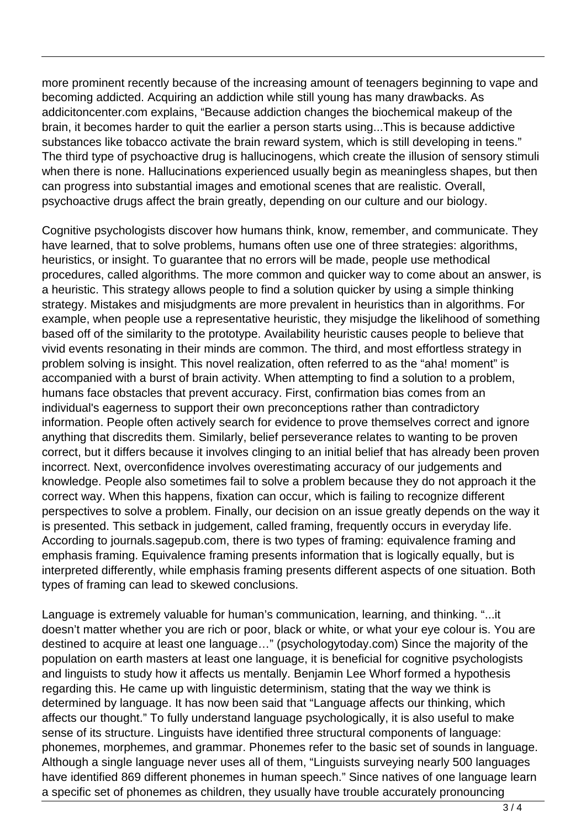more prominent recently because of the increasing amount of teenagers beginning to vape and becoming addicted. Acquiring an addiction while still young has many drawbacks. As addicitoncenter.com explains, "Because addiction changes the biochemical makeup of the brain, it becomes harder to quit the earlier a person starts using...This is because addictive substances like tobacco activate the brain reward system, which is still developing in teens." The third type of psychoactive drug is hallucinogens, which create the illusion of sensory stimuli when there is none. Hallucinations experienced usually begin as meaningless shapes, but then can progress into substantial images and emotional scenes that are realistic. Overall, psychoactive drugs affect the brain greatly, depending on our culture and our biology.

Cognitive psychologists discover how humans think, know, remember, and communicate. They have learned, that to solve problems, humans often use one of three strategies: algorithms, heuristics, or insight. To guarantee that no errors will be made, people use methodical procedures, called algorithms. The more common and quicker way to come about an answer, is a heuristic. This strategy allows people to find a solution quicker by using a simple thinking strategy. Mistakes and misjudgments are more prevalent in heuristics than in algorithms. For example, when people use a representative heuristic, they misjudge the likelihood of something based off of the similarity to the prototype. Availability heuristic causes people to believe that vivid events resonating in their minds are common. The third, and most effortless strategy in problem solving is insight. This novel realization, often referred to as the "aha! moment" is accompanied with a burst of brain activity. When attempting to find a solution to a problem, humans face obstacles that prevent accuracy. First, confirmation bias comes from an individual's eagerness to support their own preconceptions rather than contradictory information. People often actively search for evidence to prove themselves correct and ignore anything that discredits them. Similarly, belief perseverance relates to wanting to be proven correct, but it differs because it involves clinging to an initial belief that has already been proven incorrect. Next, overconfidence involves overestimating accuracy of our judgements and knowledge. People also sometimes fail to solve a problem because they do not approach it the correct way. When this happens, fixation can occur, which is failing to recognize different perspectives to solve a problem. Finally, our decision on an issue greatly depends on the way it is presented. This setback in judgement, called framing, frequently occurs in everyday life. According to journals.sagepub.com, there is two types of framing: equivalence framing and emphasis framing. Equivalence framing presents information that is logically equally, but is interpreted differently, while emphasis framing presents different aspects of one situation. Both types of framing can lead to skewed conclusions.

Language is extremely valuable for human's communication, learning, and thinking. "...it doesn't matter whether you are rich or poor, black or white, or what your eye colour is. You are destined to acquire at least one language…" (psychologytoday.com) Since the majority of the population on earth masters at least one language, it is beneficial for cognitive psychologists and linguists to study how it affects us mentally. Benjamin Lee Whorf formed a hypothesis regarding this. He came up with linguistic determinism, stating that the way we think is determined by language. It has now been said that "Language affects our thinking, which affects our thought." To fully understand language psychologically, it is also useful to make sense of its structure. Linguists have identified three structural components of language: phonemes, morphemes, and grammar. Phonemes refer to the basic set of sounds in language. Although a single language never uses all of them, "Linguists surveying nearly 500 languages have identified 869 different phonemes in human speech." Since natives of one language learn a specific set of phonemes as children, they usually have trouble accurately pronouncing